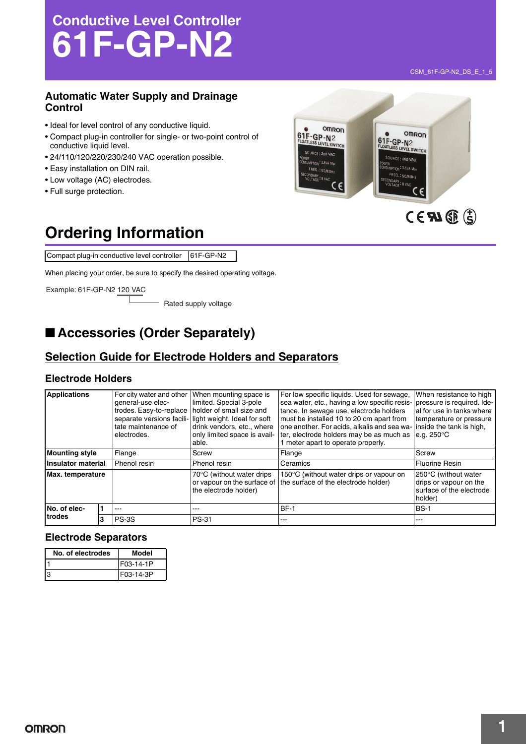# **Conductive Level Controller 61F-GP-N2**

### **Automatic Water Supply and Drainage Control**

- Ideal for level control of any conductive liquid.
- Compact plug-in controller for single- or two-point control of conductive liquid level.
- 24/110/120/220/230/240 VAC operation possible.
- Easy installation on DIN rail.
- Low voltage (AC) electrodes.
- Full surge protection.

#### **OMRON 61F-GP-N2**<br>
ELOATLESS LEVEL SWITCH<br>
PLOATLESS LEVEL SWITCH<br>
PLOATLESS LEVEL SWITCH SOURCE : 220 VAC SOURCE : 220 VAC IWER<br>|NSUMPTION <sup>:</sup> 3.5VA Max<br>|--JWER<br>JNSUMPTION <sup>:</sup> 3.5VA Max FREQ.: 50/60Hz FREQ.: 50/60Hz ECONDARY<br>VOLTAGE - 8 VAC SECONDARY: 8 VAC  $c \in$  $c\epsilon$  $CEM\times (3)$

## **Ordering Information**

Compact plug-in conductive level controller 61F-GP-N2

When placing your order, be sure to specify the desired operating voltage.

Example: 61F-GP-N2 120 VAC

- Rated supply voltage

### ■ **Accessories (Order Separately)**

### **Selection Guide for Electrode Holders and Separators**

#### **Electrode Holders**

| <b>Applications</b>    |  | For city water and other<br>general-use elec-<br>trodes. Easy-to-replace<br>tate maintenance of<br>electrodes. | When mounting space is<br>limited. Special 3-pole<br>holder of small size and<br>separate versions facili- light weight. Ideal for soft<br>drink vendors, etc., where<br>only limited space is avail-<br>able. | For low specific liquids. Used for sewage,<br>sea water, etc., having a low specific resis- pressure is required. Ide-<br>tance. In sewage use, electrode holders<br>must be installed 10 to 20 cm apart from<br>one another. For acids, alkalis and sea wa-<br>ter, electrode holders may be as much as<br>1 meter apart to operate properly. | When resistance to high<br>al for use in tanks where<br>temperature or pressure<br>inside the tank is high,<br>e.g. $250^{\circ}$ C |
|------------------------|--|----------------------------------------------------------------------------------------------------------------|----------------------------------------------------------------------------------------------------------------------------------------------------------------------------------------------------------------|------------------------------------------------------------------------------------------------------------------------------------------------------------------------------------------------------------------------------------------------------------------------------------------------------------------------------------------------|-------------------------------------------------------------------------------------------------------------------------------------|
| <b>Mounting style</b>  |  | Flange                                                                                                         | Screw                                                                                                                                                                                                          | Flange                                                                                                                                                                                                                                                                                                                                         | Screw                                                                                                                               |
| Insulator material     |  | Phenol resin                                                                                                   | Phenol resin                                                                                                                                                                                                   | Ceramics                                                                                                                                                                                                                                                                                                                                       | <b>Fluorine Resin</b>                                                                                                               |
| Max. temperature       |  |                                                                                                                | 70°C (without water drips<br>the electrode holder)                                                                                                                                                             | 150°C (without water drips or vapour on<br>or vapour on the surface of the surface of the electrode holder)                                                                                                                                                                                                                                    | 250°C (without water<br>drips or vapour on the<br>surface of the electrode<br>holder)                                               |
| No. of elec-<br>trodes |  | ---                                                                                                            | ---                                                                                                                                                                                                            | BF-1                                                                                                                                                                                                                                                                                                                                           | <b>BS-1</b>                                                                                                                         |
|                        |  | PS-3S                                                                                                          | PS-31                                                                                                                                                                                                          |                                                                                                                                                                                                                                                                                                                                                | ---                                                                                                                                 |

#### **Electrode Separators**

| No. of electrodes | Model     |
|-------------------|-----------|
|                   | F03-14-1P |
| IЗ                | F03-14-3P |

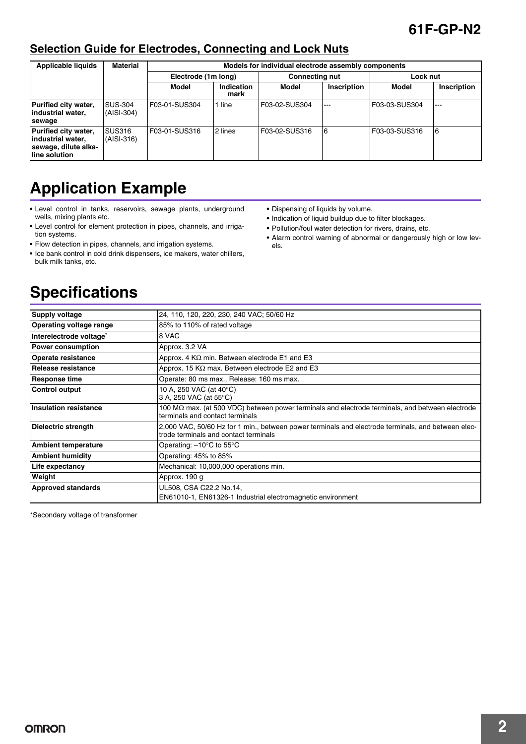### **61F-GP-N2**

### **Selection Guide for Electrodes, Connecting and Lock Nuts**

| <b>Material</b><br><b>Applicable liquids</b><br>Models for individual electrode assembly components |                              |                     |                    |                       |             |               |             |
|-----------------------------------------------------------------------------------------------------|------------------------------|---------------------|--------------------|-----------------------|-------------|---------------|-------------|
|                                                                                                     |                              | Electrode (1m long) |                    | <b>Connecting nut</b> |             | Lock nut      |             |
|                                                                                                     |                              | Model               | Indication<br>mark | Model                 | Inscription | Model         | Inscription |
| Purified city water,<br>industrial water,<br>sewage                                                 | <b>SUS-304</b><br>(AISI-304) | F03-01-SUS304       | line               | F03-02-SUS304         | $- - -$     | F03-03-SUS304 | $- - -$     |
| Purified city water,<br>industrial water,<br>sewage, dilute alka-<br>line solution                  | <b>SUS316</b><br>(AISI-316)  | IF03-01-SUS316      | 2 lines            | F03-02-SUS316         | 6           | F03-03-SUS316 | 6           |

## **Application Example**

- **•** Level control in tanks, reservoirs, sewage plants, underground wells, mixing plants etc.
- **•** Level control for element protection in pipes, channels, and irrigation systems.
- **•** Flow detection in pipes, channels, and irrigation systems.
- **•** Ice bank control in cold drink dispensers, ice makers, water chillers, bulk milk tanks, etc.
- **•** Dispensing of liquids by volume.
- **•** Indication of liquid buildup due to filter blockages.
- **•** Pollution/foul water detection for rivers, drains, etc.
- **•** Alarm control warning of abnormal or dangerously high or low levels.

### **Specifications**

| <b>Supply voltage</b>          | 24, 110, 120, 220, 230, 240 VAC; 50/60 Hz                                                                                                        |
|--------------------------------|--------------------------------------------------------------------------------------------------------------------------------------------------|
| <b>Operating voltage range</b> | 85% to 110% of rated voltage                                                                                                                     |
| Interelectrode voltage*        | 8 VAC                                                                                                                                            |
| <b>Power consumption</b>       | Approx. 3.2 VA                                                                                                                                   |
| <b>Operate resistance</b>      | Approx. 4 $K\Omega$ min. Between electrode E1 and E3                                                                                             |
| l Release resistance           | Approx. 15 K $\Omega$ max. Between electrode E2 and E3                                                                                           |
| <b>Response time</b>           | Operate: 80 ms max., Release: 160 ms max.                                                                                                        |
| Control output                 | 10 A, 250 VAC (at 40°C)<br>3 A, 250 VAC (at 55°C)                                                                                                |
| Insulation resistance          | 100 $\text{M}\Omega$ max. (at 500 VDC) between power terminals and electrode terminals, and between electrode<br>terminals and contact terminals |
| Dielectric strength            | 2,000 VAC, 50/60 Hz for 1 min., between power terminals and electrode terminals, and between elec-<br>trode terminals and contact terminals      |
| <b>Ambient temperature</b>     | Operating: $-10^{\circ}$ C to 55 $^{\circ}$ C                                                                                                    |
| <b>Ambient humidity</b>        | Operating: 45% to 85%                                                                                                                            |
| Life expectancy                | Mechanical: 10,000,000 operations min.                                                                                                           |
| Weight                         | Approx. 190 g                                                                                                                                    |
| <b>Approved standards</b>      | UL508, CSA C22.2 No.14,                                                                                                                          |
|                                | EN61010-1, EN61326-1 Industrial electromagnetic environment                                                                                      |

\*Secondary voltage of transformer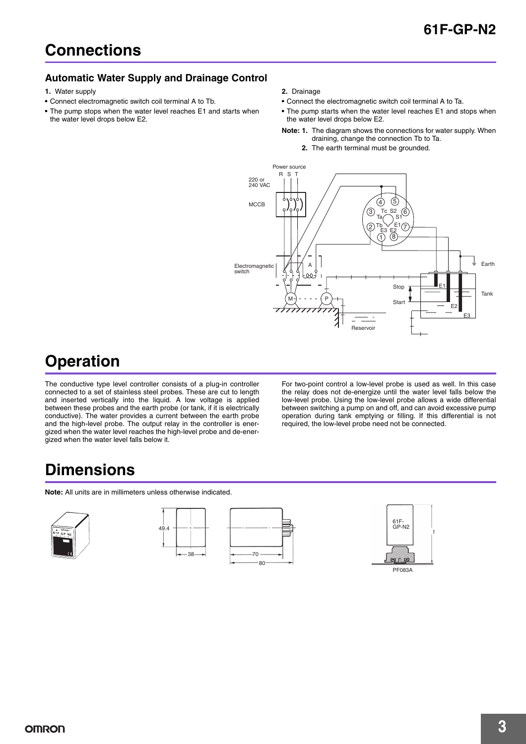#### **Automatic Water Supply and Drainage Control**

- **1.** Water supply
- **•** Connect electromagnetic switch coil terminal A to Tb.
- **•** The pump stops when the water level reaches E1 and starts when the water level drops below E2.
- **2.** Drainage
- **•** Connect the electromagnetic switch coil terminal A to Ta.
- **•** The pump starts when the water level reaches E1 and stops when the water level drops below E2.
- **Note: 1.** The diagram shows the connections for water supply. When draining, change the connection Tb to Ta.
	- **2.** The earth terminal must be grounded.



## **Operation**

The conductive type level controller consists of a plug-in controller connected to a set of stainless steel probes. These are cut to length and inserted vertically into the liquid. A low voltage is applied between these probes and the earth probe (or tank, if it is electrically conductive). The water provides a current between the earth probe and the high-level probe. The output relay in the controller is energized when the water level reaches the high-level probe and de-energized when the water level falls below it.

For two-point control a low-level probe is used as well. In this case the relay does not de-energize until the water level falls below the low-level probe. Using the low-level probe allows a wide differential between switching a pump on and off, and can avoid excessive pump operation during tank emptying or filling. If this differential is not required, the low-level probe need not be connected.

### **Dimensions**

**Note:** All units are in millimeters unless otherwise indicated.





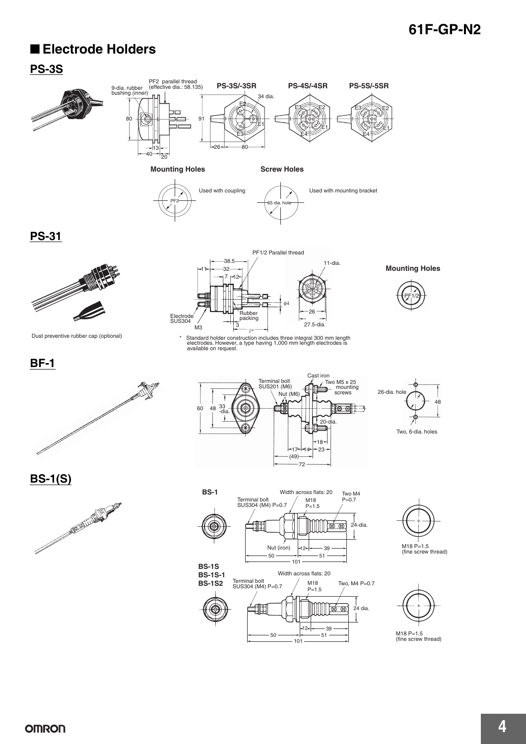### **61F-GP-N2**

### ■ **Electrode Holders**

#### **PS-3S**





 $\overline{P}$ F2  $\overline{)}$  65 dia. hole Used with coupling Used with mounting bracket

E1

**PS-31**



Dust preventive rubber cap (optional)



\* Standard holder construction includes three integral 300 mm length electrodes. However, a type having 1,000 mm length electrodes is available on request.



**Mounting Holes**

**BF-1**



Cast iron  $Tw$ <sub>0</sub> M<sub>5</sub> x 25 Terminal bolt SUS201 (M6) ศาะ mounting<br>screws Nut (M6) 60 48 <sup>33</sup> -<br>
 -dia.  $\circ$   $\circ$   $\circ$   $\circ$ ₩ 20-dia. 18  $17 - 14 - 23$  $(49)$ .<br>-72



Two, 6-dia. holes

**BS-1(S)**





**BS-1S-1 BS-1S2**



 $50 \longrightarrow 51$ 

101





M18 P=1.5 (fine screw thread)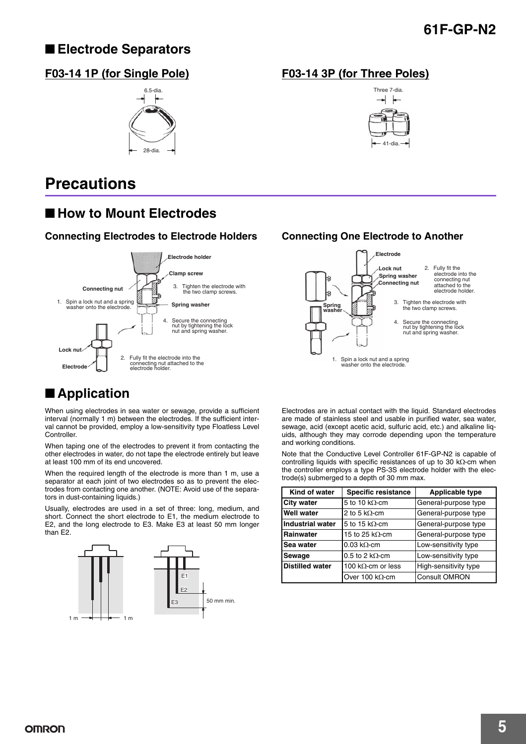### **61F-GP-N2**

### ■ **Electrode Separators**

#### **F03-14 1P (for Single Pole) F03-14 3P (for Three Poles)**



### **Precautions**

### ■ How to Mount Electrodes

#### **Connecting Electrodes to Electrode Holders Connecting One Electrode to Another**



### ■ **Application**

When using electrodes in sea water or sewage, provide a sufficient interval (normally 1 m) between the electrodes. If the sufficient interval cannot be provided, employ a low-sensitivity type Floatless Level Controller.

When taping one of the electrodes to prevent it from contacting the other electrodes in water, do not tape the electrode entirely but leave at least 100 mm of its end uncovered.

When the required length of the electrode is more than 1 m, use a separator at each joint of two electrodes so as to prevent the electrodes from contacting one another. (NOTE: Avoid use of the separators in dust-containing liquids.)

Usually, electrodes are used in a set of three: long, medium, and short. Connect the short electrode to E1, the medium electrode to E2, and the long electrode to E3. Make E3 at least 50 mm longer than E2.







Electrodes are in actual contact with the liquid. Standard electrodes are made of stainless steel and usable in purified water, sea water, sewage, acid (except acetic acid, sulfuric acid, etc.) and alkaline liquids, although they may corrode depending upon the temperature and working conditions.

Note that the Conductive Level Controller 61F-GP-N2 is capable of controlling liquids with specific resistances of up to 30 kΩ-cm when the controller employs a type PS-3S electrode holder with the electrode(s) submerged to a depth of 30 mm max.

| Kind of water           | <b>Specific resistance</b> | <b>Applicable type</b> |
|-------------------------|----------------------------|------------------------|
| <b>City water</b>       | 5 to 10 k $\Omega$ -cm     | General-purpose type   |
| <b>Well water</b>       | 2 to 5 k $\Omega$ -cm      | General-purpose type   |
| <b>Industrial water</b> | 5 to 15 k $\Omega$ -cm     | General-purpose type   |
| <b>Rainwater</b>        | 15 to 25 k $\Omega$ -cm    | General-purpose type   |
| Sea water               | $0.03 \text{ k}\Omega$ -cm | Low-sensitivity type   |
| Sewage                  | 0.5 to 2 k $\Omega$ -cm    | Low-sensitivity type   |
| <b>Distilled water</b>  | 100 k $\Omega$ -cm or less | High-sensitivity type  |
|                         | Over 100 k $\Omega$ -cm    | <b>Consult OMRON</b>   |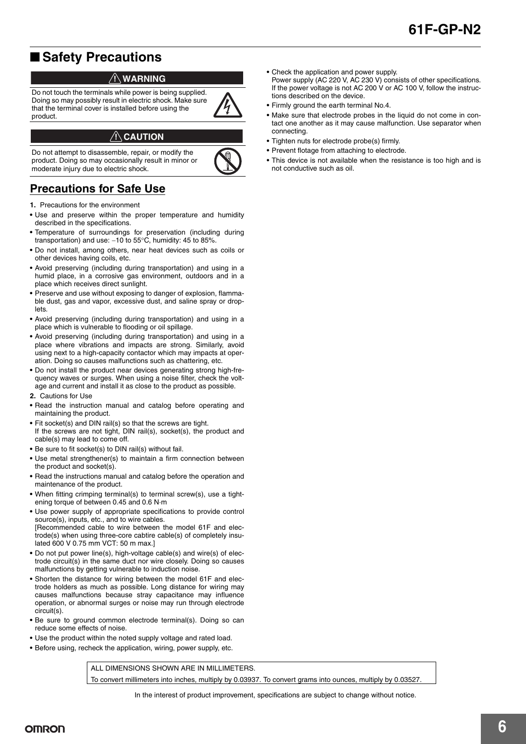### ■ Safety Precautions

#### !**WARNING**

Do not touch the terminals while power is being supplied. Doing so may possibly result in electric shock. Make sure that the terminal cover is installed before using the product.

#### !**CAUTION**

Do not attempt to disassemble, repair, or modify the product. Doing so may occasionally result in minor or moderate injury due to electric shock.



### **Precautions for Safe Use**

- **1.** Precautions for the environment
- **•** Use and preserve within the proper temperature and humidity described in the specifications.
- **•** Temperature of surroundings for preservation (including during transportation) and use: -10 to 55°C, humidity: 45 to 85%.
- **•** Do not install, among others, near heat devices such as coils or other devices having coils, etc.
- **•** Avoid preserving (including during transportation) and using in a humid place, in a corrosive gas environment, outdoors and in a place which receives direct sunlight.
- **•** Preserve and use without exposing to danger of explosion, flammable dust, gas and vapor, excessive dust, and saline spray or droplets.
- **•** Avoid preserving (including during transportation) and using in a place which is vulnerable to flooding or oil spillage.
- **•** Avoid preserving (including during transportation) and using in a place where vibrations and impacts are strong. Similarly, avoid using next to a high-capacity contactor which may impacts at operation. Doing so causes malfunctions such as chattering, etc.
- **•** Do not install the product near devices generating strong high-frequency waves or surges. When using a noise filter, check the voltage and current and install it as close to the product as possible.
- **2.** Cautions for Use
- **•** Read the instruction manual and catalog before operating and maintaining the product.
- **•** Fit socket(s) and DIN rail(s) so that the screws are tight. If the screws are not tight, DIN rail(s), socket(s), the product and cable(s) may lead to come off.
- **•** Be sure to fit socket(s) to DIN rail(s) without fail.
- **•** Use metal strengthener(s) to maintain a firm connection between the product and socket(s).
- **•** Read the instructions manual and catalog before the operation and maintenance of the product.
- **•** When fitting crimping terminal(s) to terminal screw(s), use a tightening torque of between 0.45 and 0.6 N·m
- **•** Use power supply of appropriate specifications to provide control source(s), inputs, etc., and to wire cables. [Recommended cable to wire between the model 61F and electrode(s) when using three-core cabtire cable(s) of completely insulated 600 V 0.75 mm VCT: 50 m max.]
- **•** Do not put power line(s), high-voltage cable(s) and wire(s) of electrode circuit(s) in the same duct nor wire closely. Doing so causes malfunctions by getting vulnerable to induction noise.
- **•** Shorten the distance for wiring between the model 61F and electrode holders as much as possible. Long distance for wiring may causes malfunctions because stray capacitance may influence operation, or abnormal surges or noise may run through electrode circuit(s).
- **•** Be sure to ground common electrode terminal(s). Doing so can reduce some effects of noise.
- **•** Use the product within the noted supply voltage and rated load.
- **•** Before using, recheck the application, wiring, power supply, etc.

ALL DIMENSIONS SHOWN ARE IN MILLIMETERS To convert millimeters into inches, multiply by 0.03937. To convert grams into ounces, multiply by 0.03527.

- **•** Check the application and power supply.
- Power supply (AC 220 V, AC 230 V) consists of other specifications. If the power voltage is not AC 200 V or AC 100 V, follow the instructions described on the device.
- **•** Firmly ground the earth terminal No.4.
- **•** Make sure that electrode probes in the liquid do not come in contact one another as it may cause malfunction. Use separator when connecting.
- **•** Tighten nuts for electrode probe(s) firmly.
- **•** Prevent flotage from attaching to electrode.
- **•** This device is not available when the resistance is too high and is not conductive such as oil.

In the interest of product improvement, specifications are subject to change without notice.